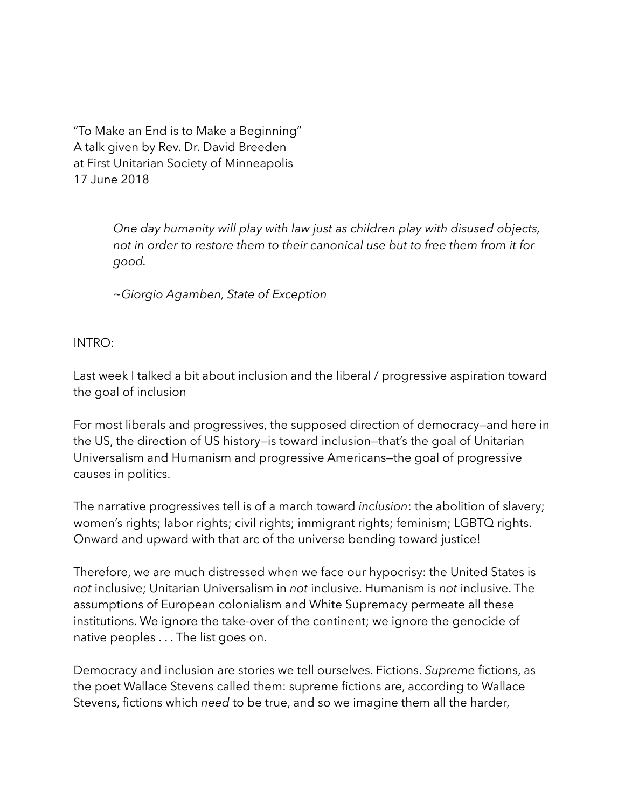"To Make an End is to Make a Beginning" A talk given by Rev. Dr. David Breeden at First Unitarian Society of Minneapolis 17 June 2018

> *One day humanity will play with law just as children play with disused objects, not in order to restore them to their canonical use but to free them from it for good.*

*~Giorgio Agamben, State of Exception* 

INTRO:

Last week I talked a bit about inclusion and the liberal / progressive aspiration toward the goal of inclusion

For most liberals and progressives, the supposed direction of democracy—and here in the US, the direction of US history—is toward inclusion—that's the goal of Unitarian Universalism and Humanism and progressive Americans—the goal of progressive causes in politics.

The narrative progressives tell is of a march toward *inclusion*: the abolition of slavery; women's rights; labor rights; civil rights; immigrant rights; feminism; LGBTQ rights. Onward and upward with that arc of the universe bending toward justice!

Therefore, we are much distressed when we face our hypocrisy: the United States is *not* inclusive; Unitarian Universalism in *not* inclusive. Humanism is *not* inclusive. The assumptions of European colonialism and White Supremacy permeate all these institutions. We ignore the take-over of the continent; we ignore the genocide of native peoples . . . The list goes on.

Democracy and inclusion are stories we tell ourselves. Fictions. *Supreme* fictions, as the poet Wallace Stevens called them: supreme fictions are, according to Wallace Stevens, fictions which *need* to be true, and so we imagine them all the harder,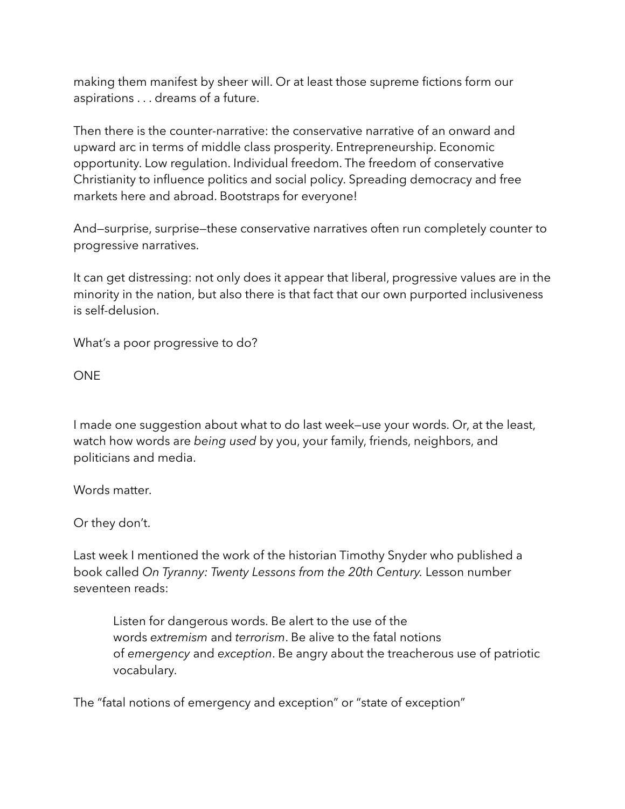making them manifest by sheer will. Or at least those supreme fictions form our aspirations . . . dreams of a future.

Then there is the counter-narrative: the conservative narrative of an onward and upward arc in terms of middle class prosperity. Entrepreneurship. Economic opportunity. Low regulation. Individual freedom. The freedom of conservative Christianity to influence politics and social policy. Spreading democracy and free markets here and abroad. Bootstraps for everyone!

And—surprise, surprise—these conservative narratives often run completely counter to progressive narratives.

It can get distressing: not only does it appear that liberal, progressive values are in the minority in the nation, but also there is that fact that our own purported inclusiveness is self-delusion.

What's a poor progressive to do?

ONE

I made one suggestion about what to do last week—use your words. Or, at the least, watch how words are *being used* by you, your family, friends, neighbors, and politicians and media.

Words matter.

Or they don't.

Last week I mentioned the work of the historian Timothy Snyder who published a book called *[On Tyranny: Twenty Lessons from the 20th Century](https://www.washingtonpost.com/news/book-party/wp/2017/02/24/20-ways-to-recognize-tyranny-and-fight-it/?utm_term=.9ffefa049a1d).* Lesson number seventeen reads:

Listen for dangerous words. Be alert to the use of the words *extremism* and *terrorism*. Be alive to the fatal notions of *emergency* and *exception*. Be angry about the treacherous use of patriotic vocabulary.

The "fatal notions of emergency and exception" or "state of exception"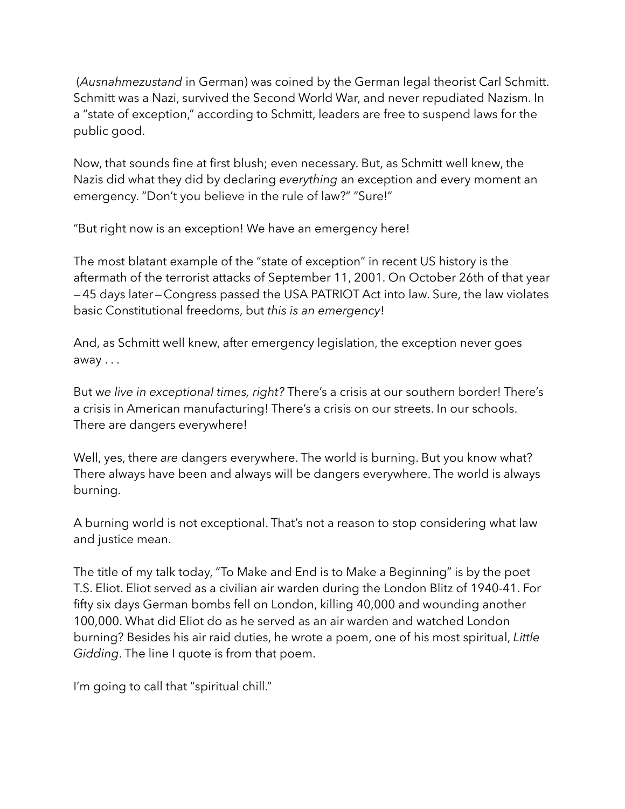(*Ausnahmezustand* in German) was coined by the German legal theorist Carl Schmitt. Schmitt was a Nazi, survived the Second World War, and never repudiated Nazism. In a "state of exception," according to Schmitt, leaders are free to suspend laws for the public good.

Now, that sounds fine at first blush; even necessary. But, as Schmitt well knew, the Nazis did what they did by declaring *everything* an exception and every moment an emergency. "Don't you believe in the rule of law?" "Sure!"

"But right now is an exception! We have an emergency here!

The most blatant example of the "state of exception" in recent US history is the aftermath of the terrorist attacks of September 11, 2001. On October 26th of that year —45 days later—Congress passed the USA PATRIOT Act into law. Sure, the law violates basic Constitutional freedoms, but *this is an emergency*!

And, as Schmitt well knew, after emergency legislation, the exception never goes away . . .

But w*e live in exceptional times, right?* There's a crisis at our southern border! There's a crisis in American manufacturing! There's a crisis on our streets. In our schools. There are dangers everywhere!

Well, yes, there *are* dangers everywhere. The world is burning. But you know what? There always have been and always will be dangers everywhere. The world is always burning.

A burning world is not exceptional. That's not a reason to stop considering what law and justice mean.

The title of my talk today, "To Make and End is to Make a Beginning" is by the poet T.S. Eliot. Eliot served as a civilian air warden during the London Blitz of 1940-41. For fifty six days German bombs fell on London, killing 40,000 and wounding another 100,000. What did Eliot do as he served as an air warden and watched London burning? Besides his air raid duties, he wrote a poem, one of his most spiritual, *[Little](http://www.columbia.edu/itc/history/winter/w3206/edit/tseliotlittlegidding.html)  [Gidding](http://www.columbia.edu/itc/history/winter/w3206/edit/tseliotlittlegidding.html)*. The line I quote is from that poem.

I'm going to call that "spiritual chill."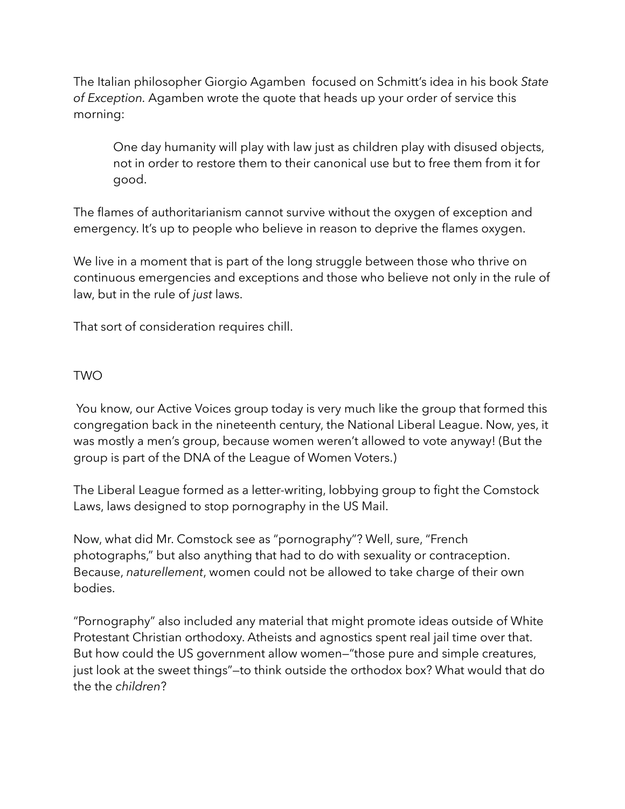The Italian philosopher Giorgio Agamben focused on Schmitt's idea in his book *State of Exception.* Agamben wrote the quote that heads up your order of service this morning:

One day humanity will play with law just as children play with disused objects, not in order to restore them to their canonical use but to free them from it for good.

The flames of authoritarianism cannot survive without the oxygen of exception and emergency. It's up to people who believe in reason to deprive the flames oxygen.

We live in a moment that is part of the long struggle between those who thrive on continuous emergencies and exceptions and those who believe not only in the rule of law, but in the rule of *just* laws.

That sort of consideration requires chill.

## TWO

 You know, our Active Voices group today is very much like the group that formed this congregation back in the nineteenth century, the National Liberal League. Now, yes, it was mostly a men's group, because women weren't allowed to vote anyway! (But the group is part of the DNA of the League of Women Voters.)

The Liberal League formed as a letter-writing, lobbying group to fight the Comstock Laws, laws designed to stop pornography in the US Mail.

Now, what did Mr. Comstock see as "pornography"? Well, sure, "French photographs," but also anything that had to do with sexuality or contraception. Because, *naturellement*, women could not be allowed to take charge of their own bodies.

"Pornography" also included any material that might promote ideas outside of White Protestant Christian orthodoxy. Atheists and agnostics spent real jail time over that. But how could the US government allow women—"those pure and simple creatures, just look at the sweet things"—to think outside the orthodox box? What would that do the the *children*?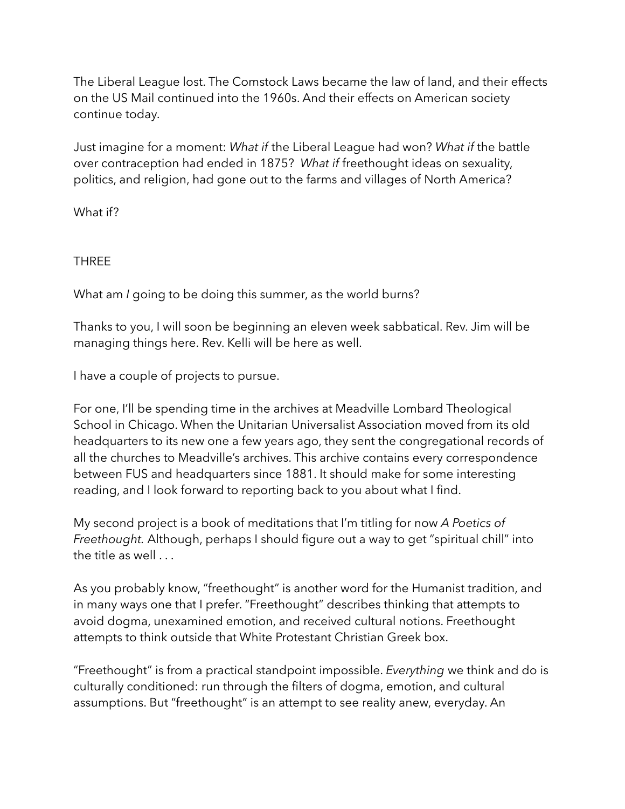The Liberal League lost. The Comstock Laws became the law of land, and their effects on the US Mail continued into the 1960s. And their effects on American society continue today.

Just imagine for a moment: *What if* the Liberal League had won? *What if* the battle over contraception had ended in 1875? *What if* freethought ideas on sexuality, politics, and religion, had gone out to the farms and villages of North America?

What if?

THREE

What am *I* going to be doing this summer, as the world burns?

Thanks to you, I will soon be beginning an eleven week sabbatical. Rev. Jim will be managing things here. Rev. Kelli will be here as well.

I have a couple of projects to pursue.

For one, I'll be spending time in the archives at Meadville Lombard Theological School in Chicago. When the Unitarian Universalist Association moved from its old headquarters to its new one a few years ago, they sent the congregational records of all the churches to Meadville's archives. This archive contains every correspondence between FUS and headquarters since 1881. It should make for some interesting reading, and I look forward to reporting back to you about what I find.

My second project is a book of meditations that I'm titling for now *A Poetics of Freethought.* Although, perhaps I should figure out a way to get "spiritual chill" into the title as well . . .

As you probably know, "freethought" is another word for the Humanist tradition, and in many ways one that I prefer. "Freethought" describes thinking that attempts to avoid dogma, unexamined emotion, and received cultural notions. Freethought attempts to think outside that White Protestant Christian Greek box.

"Freethought" is from a practical standpoint impossible. *Everything* we think and do is culturally conditioned: run through the filters of dogma, emotion, and cultural assumptions. But "freethought" is an attempt to see reality anew, everyday. An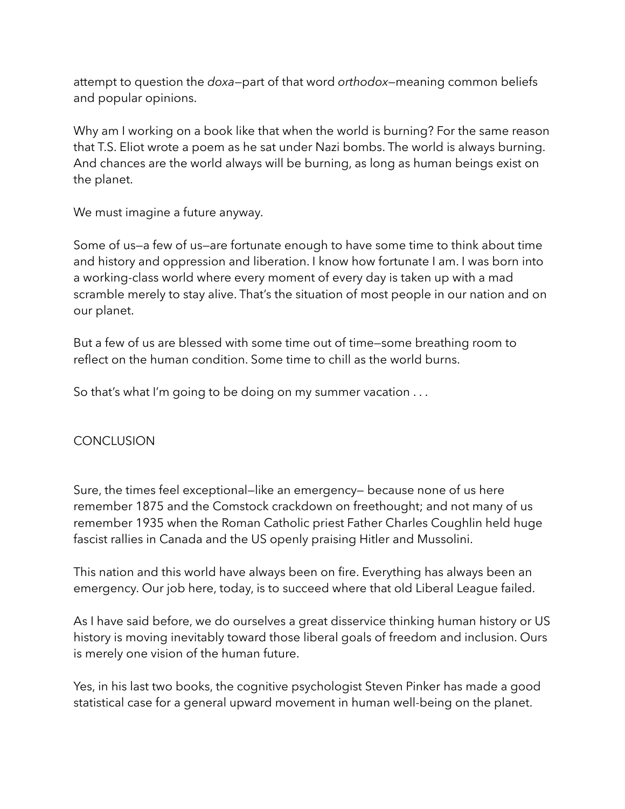attempt to question the *doxa*—part of that word *orthodox—*meaning common beliefs and popular opinions.

Why am I working on a book like that when the world is burning? For the same reason that T.S. Eliot wrote a poem as he sat under Nazi bombs. The world is always burning. And chances are the world always will be burning, as long as human beings exist on the planet.

We must imagine a future anyway.

Some of us—a few of us—are fortunate enough to have some time to think about time and history and oppression and liberation. I know how fortunate I am. I was born into a working-class world where every moment of every day is taken up with a mad scramble merely to stay alive. That's the situation of most people in our nation and on our planet.

But a few of us are blessed with some time out of time—some breathing room to reflect on the human condition. Some time to chill as the world burns.

So that's what I'm going to be doing on my summer vacation . . .

## CONCLUSION

Sure, the times feel exceptional—like an emergency— because none of us here remember 1875 and the Comstock crackdown on freethought; and not many of us remember 1935 when the Roman Catholic priest Father Charles Coughlin held huge fascist rallies in Canada and the US openly praising Hitler and Mussolini.

This nation and this world have always been on fire. Everything has always been an emergency. Our job here, today, is to succeed where that old Liberal League failed.

As I have said before, we do ourselves a great disservice thinking human history or US history is moving inevitably toward those liberal goals of freedom and inclusion. Ours is merely one vision of the human future.

Yes, in his last two books, the cognitive psychologist Steven Pinker has made a good statistical case for a general upward movement in human well-being on the planet.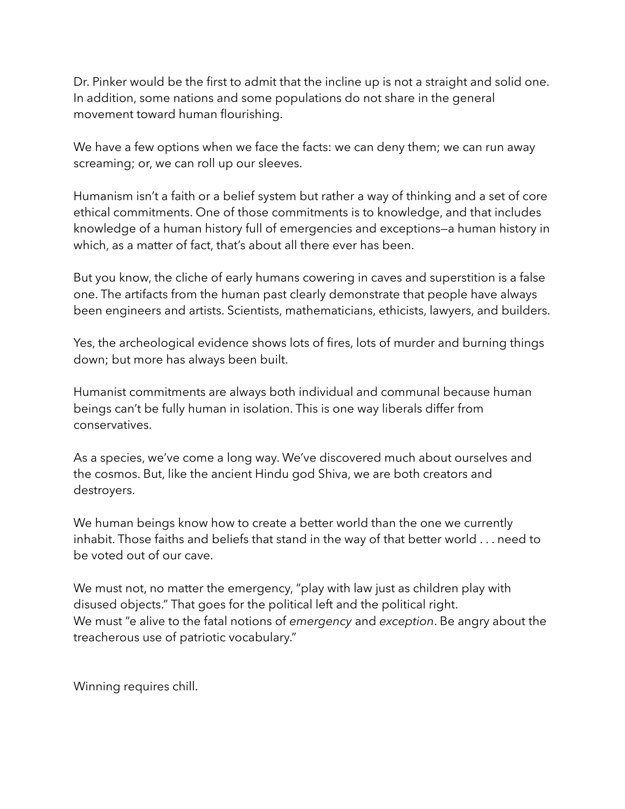Dr. Pinker would be the first to admit that the incline up is not a straight and solid one. In addition, some nations and some populations do not share in the general movement toward human flourishing.

We have a few options when we face the facts: we can deny them; we can run away screaming; or, we can roll up our sleeves.

Humanism isn't a faith or a belief system but rather a way of thinking and a set of core ethical commitments. One of those commitments is to knowledge, and that includes knowledge of a human history full of emergencies and exceptions—a human history in which, as a matter of fact, that's about all there ever has been.

But you know, the cliche of early humans cowering in caves and superstition is a false one. The artifacts from the human past clearly demonstrate that people have always been engineers and artists. Scientists, mathematicians, ethicists, lawyers, and builders.

Yes, the archeological evidence shows lots of fires, lots of murder and burning things down; but more has always been built.

Humanist commitments are always both individual and communal because human beings can't be fully human in isolation. This is one way liberals differ from conservatives.

As a species, we've come a long way. We've discovered much about ourselves and the cosmos. But, like the ancient Hindu god Shiva, we are both creators and destroyers.

We human beings know how to create a better world than the one we currently inhabit. Those faiths and beliefs that stand in the way of that better world . . . need to be voted out of our cave.

We must not, no matter the emergency, "play with law just as children play with disused objects." That goes for the political left and the political right. We must "e alive to the fatal notions of *emergency* and *exception*. Be angry about the treacherous use of patriotic vocabulary."

Winning requires chill.